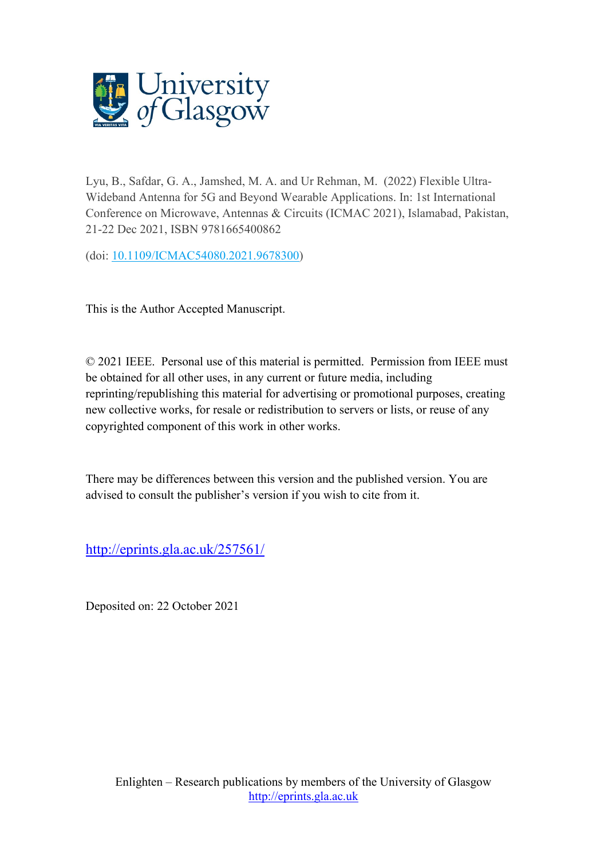

Lyu, B., Safdar, G. A., Jamshed, M. A. and Ur Rehman, M. (2022) Flexible Ultra-Wideband Antenna for 5G and Beyond Wearable Applications. In: 1st International Conference on Microwave, Antennas & Circuits (ICMAC 2021), Islamabad, Pakistan, 21-22 Dec 2021, ISBN 9781665400862

(doi: [10.1109/ICMAC54080.2021.9678300\)](http://dx.doi.org/10.1109/ICMAC54080.2021.9678300)

This is the Author Accepted Manuscript.

© 2021 IEEE. Personal use of this material is permitted. Permission from IEEE must be obtained for all other uses, in any current or future media, including reprinting/republishing this material for advertising or promotional purposes, creating new collective works, for resale or redistribution to servers or lists, or reuse of any copyrighted component of this work in other works.

There may be differences between this version and the published version. You are advised to consult the publisher's version if you wish to cite from it.

<http://eprints.gla.ac.uk/257561/>

Deposited on: 22 October 2021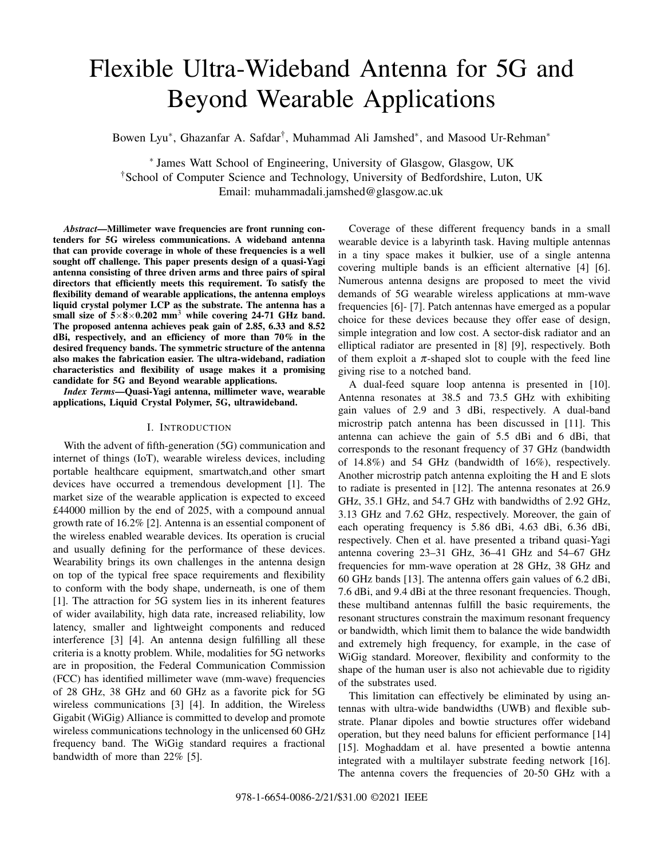# Flexible Ultra-Wideband Antenna for 5G and Beyond Wearable Applications

Bowen Lyu<sup>∗</sup>, Ghazanfar A. Safdar<sup>†</sup>, Muhammad Ali Jamshed<sup>∗</sup>, and Masood Ur-Rehman<sup>∗</sup>

∗ James Watt School of Engineering, University of Glasgow, Glasgow, UK †School of Computer Science and Technology, University of Bedfordshire, Luton, UK Email: muhammadali.jamshed@glasgow.ac.uk

*Abstract*—Millimeter wave frequencies are front running contenders for 5G wireless communications. A wideband antenna that can provide coverage in whole of these frequencies is a well sought off challenge. This paper presents design of a quasi-Yagi antenna consisting of three driven arms and three pairs of spiral directors that efficiently meets this requirement. To satisfy the flexibility demand of wearable applications, the antenna employs liquid crystal polymer LCP as the substrate. The antenna has a small size of  $5\times8\times0.202$  mm<sup>3</sup> while covering 24-71 GHz band. The proposed antenna achieves peak gain of 2.85, 6.33 and 8.52 dBi, respectively, and an efficiency of more than 70% in the desired frequency bands. The symmetric structure of the antenna also makes the fabrication easier. The ultra-wideband, radiation characteristics and flexibility of usage makes it a promising candidate for 5G and Beyond wearable applications.

*Index Terms*—Quasi-Yagi antenna, millimeter wave, wearable applications, Liquid Crystal Polymer, 5G, ultrawideband.

### I. INTRODUCTION

With the advent of fifth-generation (5G) communication and internet of things (IoT), wearable wireless devices, including portable healthcare equipment, smartwatch,and other smart devices have occurred a tremendous development [1]. The market size of the wearable application is expected to exceed £44000 million by the end of 2025, with a compound annual growth rate of 16.2% [2]. Antenna is an essential component of the wireless enabled wearable devices. Its operation is crucial and usually defining for the performance of these devices. Wearability brings its own challenges in the antenna design on top of the typical free space requirements and flexibility to conform with the body shape, underneath, is one of them [1]. The attraction for 5G system lies in its inherent features of wider availability, high data rate, increased reliability, low latency, smaller and lightweight components and reduced interference [3] [4]. An antenna design fulfilling all these criteria is a knotty problem. While, modalities for 5G networks are in proposition, the Federal Communication Commission (FCC) has identified millimeter wave (mm-wave) frequencies of 28 GHz, 38 GHz and 60 GHz as a favorite pick for 5G wireless communications [3] [4]. In addition, the Wireless Gigabit (WiGig) Alliance is committed to develop and promote wireless communications technology in the unlicensed 60 GHz frequency band. The WiGig standard requires a fractional bandwidth of more than 22% [5].

Coverage of these different frequency bands in a small wearable device is a labyrinth task. Having multiple antennas in a tiny space makes it bulkier, use of a single antenna covering multiple bands is an efficient alternative [4] [6]. Numerous antenna designs are proposed to meet the vivid demands of 5G wearable wireless applications at mm-wave frequencies [6]- [7]. Patch antennas have emerged as a popular choice for these devices because they offer ease of design, simple integration and low cost. A sector-disk radiator and an elliptical radiator are presented in [8] [9], respectively. Both of them exploit a  $\pi$ -shaped slot to couple with the feed line giving rise to a notched band.

A dual-feed square loop antenna is presented in [10]. Antenna resonates at 38.5 and 73.5 GHz with exhibiting gain values of 2.9 and 3 dBi, respectively. A dual-band microstrip patch antenna has been discussed in [11]. This antenna can achieve the gain of 5.5 dBi and 6 dBi, that corresponds to the resonant frequency of 37 GHz (bandwidth of 14.8%) and 54 GHz (bandwidth of 16%), respectively. Another microstrip patch antenna exploiting the H and E slots to radiate is presented in [12]. The antenna resonates at 26.9 GHz, 35.1 GHz, and 54.7 GHz with bandwidths of 2.92 GHz, 3.13 GHz and 7.62 GHz, respectively. Moreover, the gain of each operating frequency is 5.86 dBi, 4.63 dBi, 6.36 dBi, respectively. Chen et al. have presented a triband quasi-Yagi antenna covering 23–31 GHz, 36–41 GHz and 54–67 GHz frequencies for mm-wave operation at 28 GHz, 38 GHz and 60 GHz bands [13]. The antenna offers gain values of 6.2 dBi, 7.6 dBi, and 9.4 dBi at the three resonant frequencies. Though, these multiband antennas fulfill the basic requirements, the resonant structures constrain the maximum resonant frequency or bandwidth, which limit them to balance the wide bandwidth and extremely high frequency, for example, in the case of WiGig standard. Moreover, flexibility and conformity to the shape of the human user is also not achievable due to rigidity of the substrates used.

This limitation can effectively be eliminated by using antennas with ultra-wide bandwidths (UWB) and flexible substrate. Planar dipoles and bowtie structures offer wideband operation, but they need baluns for efficient performance [14] [15]. Moghaddam et al. have presented a bowtie antenna integrated with a multilayer substrate feeding network [16]. The antenna covers the frequencies of 20-50 GHz with a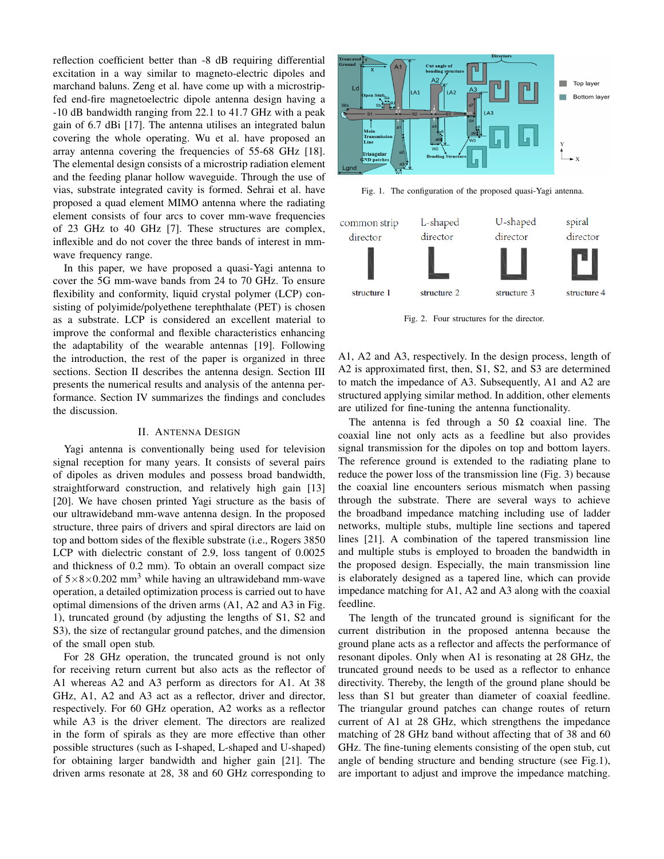reflection coefficient better than -8 dB requiring differential excitation in a way similar to magneto-electric dipoles and marchand baluns. Zeng et al. have come up with a microstripfed end-fire magnetoelectric dipole antenna design having a -10 dB bandwidth ranging from 22.1 to 41.7 GHz with a peak gain of 6.7 dBi [17]. The antenna utilises an integrated balun covering the whole operating. Wu et al. have proposed an array antenna covering the frequencies of 55-68 GHz [18]. The elemental design consists of a microstrip radiation element and the feeding planar hollow waveguide. Through the use of vias, substrate integrated cavity is formed. Sehrai et al. have proposed a quad element MIMO antenna where the radiating element consists of four arcs to cover mm-wave frequencies of 23 GHz to 40 GHz [7]. These structures are complex, inflexible and do not cover the three bands of interest in mmwave frequency range.

In this paper, we have proposed a quasi-Yagi antenna to cover the 5G mm-wave bands from 24 to 70 GHz. To ensure flexibility and conformity, liquid crystal polymer (LCP) consisting of polyimide/polyethene terephthalate (PET) is chosen as a substrate. LCP is considered an excellent material to improve the conformal and flexible characteristics enhancing the adaptability of the wearable antennas [19]. Following the introduction, the rest of the paper is organized in three sections. Section II describes the antenna design. Section III presents the numerical results and analysis of the antenna performance. Section IV summarizes the findings and concludes the discussion.

# II. ANTENNA DESIGN

Yagi antenna is conventionally being used for television signal reception for many years. It consists of several pairs of dipoles as driven modules and possess broad bandwidth, straightforward construction, and relatively high gain [13] [20]. We have chosen printed Yagi structure as the basis of our ultrawideband mm-wave antenna design. In the proposed structure, three pairs of drivers and spiral directors are laid on top and bottom sides of the flexible substrate (i.e., Rogers 3850 LCP with dielectric constant of 2.9, loss tangent of 0.0025 and thickness of 0.2 mm). To obtain an overall compact size of  $5\times8\times0.202$  mm<sup>3</sup> while having an ultrawideband mm-wave operation, a detailed optimization process is carried out to have optimal dimensions of the driven arms (A1, A2 and A3 in Fig. 1), truncated ground (by adjusting the lengths of S1, S2 and S3), the size of rectangular ground patches, and the dimension of the small open stub.

For 28 GHz operation, the truncated ground is not only for receiving return current but also acts as the reflector of A1 whereas A2 and A3 perform as directors for A1. At 38 GHz, A1, A2 and A3 act as a reflector, driver and director, respectively. For 60 GHz operation, A2 works as a reflector while A3 is the driver element. The directors are realized in the form of spirals as they are more effective than other possible structures (such as I-shaped, L-shaped and U-shaped) for obtaining larger bandwidth and higher gain [21]. The driven arms resonate at 28, 38 and 60 GHz corresponding to



Fig. 1. The configuration of the proposed quasi-Yagi antenna.



Fig. 2. Four structures for the director.

A1, A2 and A3, respectively. In the design process, length of A2 is approximated first, then, S1, S2, and S3 are determined to match the impedance of A3. Subsequently, A1 and A2 are structured applying similar method. In addition, other elements are utilized for fine-tuning the antenna functionality.

The antenna is fed through a 50  $\Omega$  coaxial line. The coaxial line not only acts as a feedline but also provides signal transmission for the dipoles on top and bottom layers. The reference ground is extended to the radiating plane to reduce the power loss of the transmission line (Fig. 3) because the coaxial line encounters serious mismatch when passing through the substrate. There are several ways to achieve the broadband impedance matching including use of ladder networks, multiple stubs, multiple line sections and tapered lines [21]. A combination of the tapered transmission line and multiple stubs is employed to broaden the bandwidth in the proposed design. Especially, the main transmission line is elaborately designed as a tapered line, which can provide impedance matching for A1, A2 and A3 along with the coaxial feedline.

The length of the truncated ground is significant for the current distribution in the proposed antenna because the ground plane acts as a reflector and affects the performance of resonant dipoles. Only when A1 is resonating at 28 GHz, the truncated ground needs to be used as a reflector to enhance directivity. Thereby, the length of the ground plane should be less than S1 but greater than diameter of coaxial feedline. The triangular ground patches can change routes of return current of A1 at 28 GHz, which strengthens the impedance matching of 28 GHz band without affecting that of 38 and 60 GHz. The fine-tuning elements consisting of the open stub, cut angle of bending structure and bending structure (see Fig.1), are important to adjust and improve the impedance matching.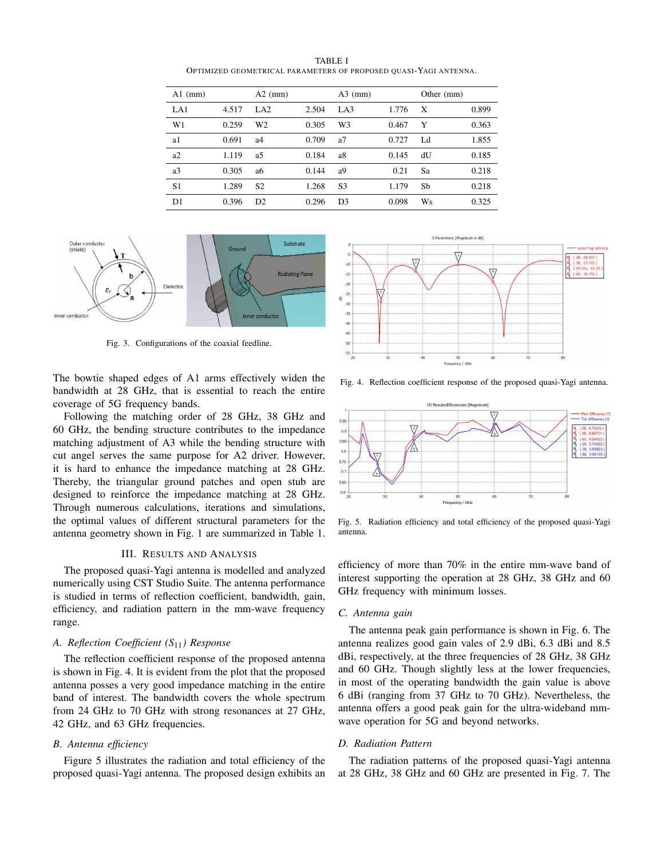TABLE I OPTIMIZED GEOMETRICAL PARAMETERS OF PROPOSED QUASI-YAGI ANTENNA.

| $A1$ (mm)      |       | $A2$ (mm)       |       | $A3$ (mm)      |       | Other (mm) |       |
|----------------|-------|-----------------|-------|----------------|-------|------------|-------|
| LA1            | 4.517 | LA <sub>2</sub> | 2.504 | LA3            | 1.776 | X          | 0.899 |
| W1             | 0.259 | W <sub>2</sub>  | 0.305 | W <sub>3</sub> | 0.467 | Y          | 0.363 |
| a1             | 0.691 | a4              | 0.709 | a7             | 0.727 | Ld         | 1.855 |
| a2             | 1.119 | a5              | 0.184 | a8             | 0.145 | dU         | 0.185 |
| a <sub>3</sub> | 0.305 | a6              | 0.144 | a <sub>9</sub> | 0.21  | Sa         | 0.218 |
| S <sub>1</sub> | 1.289 | S <sub>2</sub>  | 1.268 | S <sub>3</sub> | 1.179 | Sb         | 0.218 |
| D <sub>1</sub> | 0.396 | D2              | 0.296 | D <sub>3</sub> | 0.098 | Ws         | 0.325 |



Fig. 3. Configurations of the coaxial feedline.

The bowtie shaped edges of A1 arms effectively widen the bandwidth at 28 GHz, that is essential to reach the entire coverage of 5G frequency bands.

Following the matching order of 28 GHz, 38 GHz and 60 GHz, the bending structure contributes to the impedance matching adjustment of A3 while the bending structure with cut angel serves the same purpose for A2 driver. However, it is hard to enhance the impedance matching at 28 GHz. Thereby, the triangular ground patches and open stub are designed to reinforce the impedance matching at 28 GHz. Through numerous calculations, iterations and simulations, the optimal values of different structural parameters for the antenna geometry shown in Fig. 1 are summarized in Table 1.

# III. RESULTS AND ANALYSIS

The proposed quasi-Yagi antenna is modelled and analyzed numerically using CST Studio Suite. The antenna performance is studied in terms of reflection coefficient, bandwidth, gain, efficiency, and radiation pattern in the mm-wave frequency range.

## *A. Reflection Coefficient (S*11*) Response*

The reflection coefficient response of the proposed antenna is shown in Fig. 4. It is evident from the plot that the proposed antenna posses a very good impedance matching in the entire band of interest. The bandwidth covers the whole spectrum from 24 GHz to 70 GHz with strong resonances at 27 GHz, 42 GHz, and 63 GHz frequencies.

# *B. Antenna efficiency*

Figure 5 illustrates the radiation and total efficiency of the proposed quasi-Yagi antenna. The proposed design exhibits an



Fig. 4. Reflection coefficient response of the proposed quasi-Yagi antenna.



Fig. 5. Radiation efficiency and total efficiency of the proposed quasi-Yagi antenna.

efficiency of more than 70% in the entire mm-wave band of interest supporting the operation at 28 GHz, 38 GHz and 60 GHz frequency with minimum losses.

### *C. Antenna gain*

The antenna peak gain performance is shown in Fig. 6. The antenna realizes good gain vales of 2.9 dBi, 6.3 dBi and 8.5 dBi, respectively, at the three frequencies of 28 GHz, 38 GHz and 60 GHz. Though slightly less at the lower frequencies, in most of the operating bandwidth the gain value is above 6 dBi (ranging from 37 GHz to 70 GHz). Nevertheless, the antenna offers a good peak gain for the ultra-wideband mmwave operation for 5G and beyond networks.

#### *D. Radiation Pattern*

The radiation patterns of the proposed quasi-Yagi antenna at 28 GHz, 38 GHz and 60 GHz are presented in Fig. 7. The